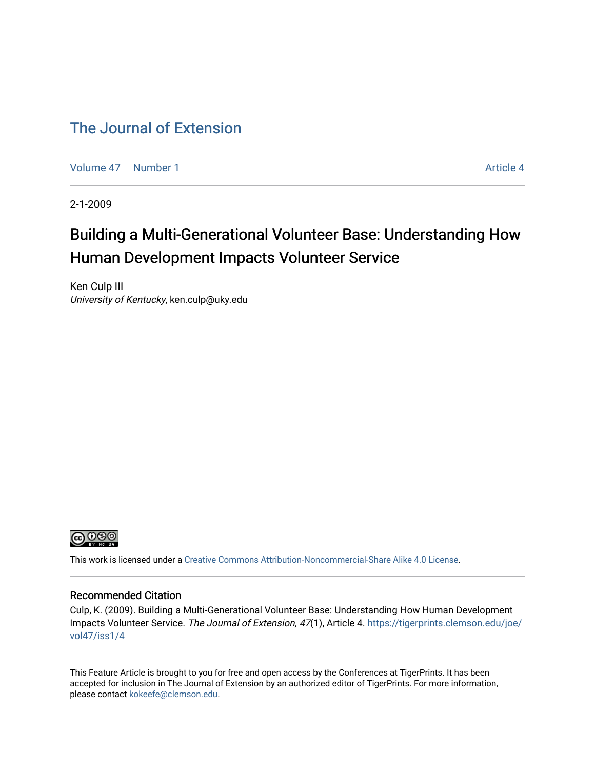## [The Journal of Extension](https://tigerprints.clemson.edu/joe)

[Volume 47](https://tigerprints.clemson.edu/joe/vol47) | [Number 1](https://tigerprints.clemson.edu/joe/vol47/iss1) [Article 4](https://tigerprints.clemson.edu/joe/vol47/iss1/4) Article 4

2-1-2009

# Building a Multi-Generational Volunteer Base: Understanding How Human Development Impacts Volunteer Service

Ken Culp III University of Kentucky, ken.culp@uky.edu



This work is licensed under a [Creative Commons Attribution-Noncommercial-Share Alike 4.0 License.](https://creativecommons.org/licenses/by-nc-sa/4.0/)

#### Recommended Citation

Culp, K. (2009). Building a Multi-Generational Volunteer Base: Understanding How Human Development Impacts Volunteer Service. The Journal of Extension, 47(1), Article 4. [https://tigerprints.clemson.edu/joe/](https://tigerprints.clemson.edu/joe/vol47/iss1/4) [vol47/iss1/4](https://tigerprints.clemson.edu/joe/vol47/iss1/4)

This Feature Article is brought to you for free and open access by the Conferences at TigerPrints. It has been accepted for inclusion in The Journal of Extension by an authorized editor of TigerPrints. For more information, please contact [kokeefe@clemson.edu](mailto:kokeefe@clemson.edu).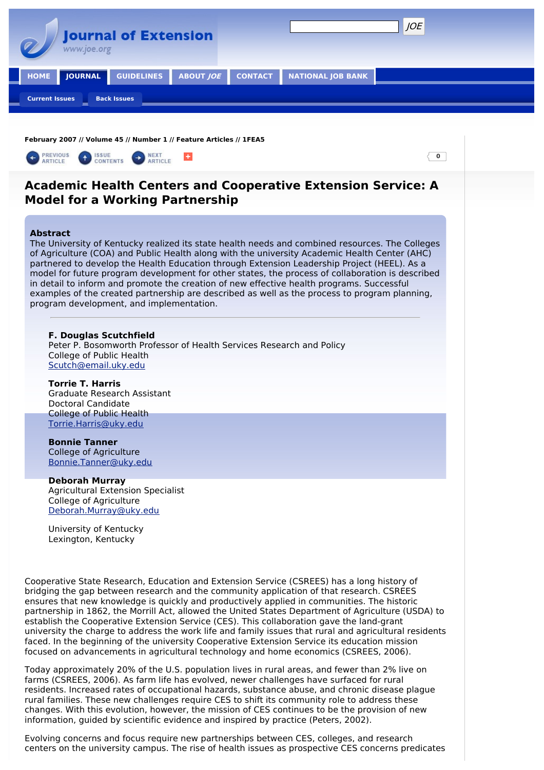

**February 2007 // Volume 45 // Number 1 // Feature Articles // 1FEA5**



Today approximately 20% of the U.S. population lives in rural areas, and fewer than 2% live on farms (CSREES, 2006). As farm life has evolved, newer challenges have surfaced for rural residents. Increased rates of occupational hazards, substance abuse, and chronic disease plague rural families. These new challenges require CES to shift its community role to address these changes. With this evolution, however, the mission of CES continues to be the provision of new information, guided by scientific evidence and inspired by practice (Peters, 2002).

Evolving concerns and focus require new partnerships between CES, colleges, and research centers on the university campus. The rise of health issues as prospective CES concerns predicates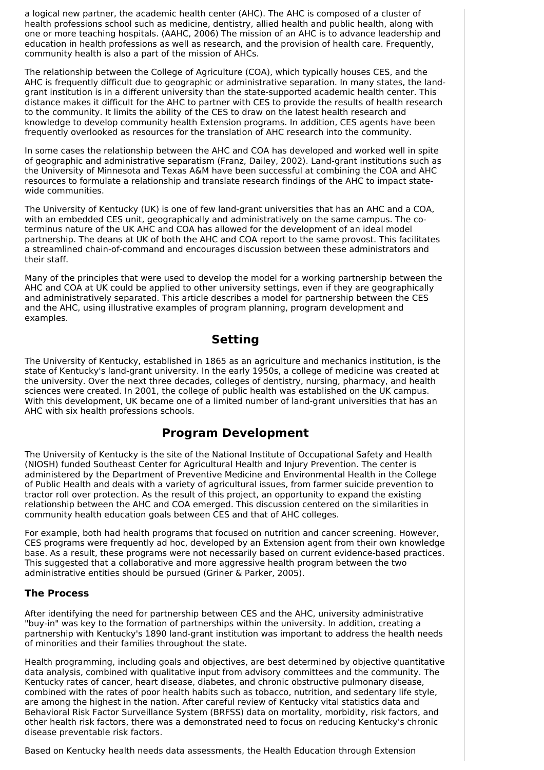a logical new partner, the academic health center (AHC). The AHC is composed of a cluster of health professions school such as medicine, dentistry, allied health and public health, along with one or more teaching hospitals. (AAHC, 2006) The mission of an AHC is to advance leadership and education in health professions as well as research, and the provision of health care. Frequently, community health is also a part of the mission of AHCs.

The relationship between the College of Agriculture (COA), which typically houses CES, and the AHC is frequently difficult due to geographic or administrative separation. In many states, the landgrant institution is in a different university than the state-supported academic health center. This distance makes it difficult for the AHC to partner with CES to provide the results of health research to the community. It limits the ability of the CES to draw on the latest health research and knowledge to develop community health Extension programs. In addition, CES agents have been frequently overlooked as resources for the translation of AHC research into the community.

In some cases the relationship between the AHC and COA has developed and worked well in spite of geographic and administrative separatism (Franz, Dailey, 2002). Land-grant institutions such as the University of Minnesota and Texas A&M have been successful at combining the COA and AHC resources to formulate a relationship and translate research findings of the AHC to impact statewide communities.

The University of Kentucky (UK) is one of few land-grant universities that has an AHC and a COA, with an embedded CES unit, geographically and administratively on the same campus. The coterminus nature of the UK AHC and COA has allowed for the development of an ideal model partnership. The deans at UK of both the AHC and COA report to the same provost. This facilitates a streamlined chain-of-command and encourages discussion between these administrators and their staff.

Many of the principles that were used to develop the model for a working partnership between the AHC and COA at UK could be applied to other university settings, even if they are geographically and administratively separated. This article describes a model for partnership between the CES and the AHC, using illustrative examples of program planning, program development and examples.

### **Setting**

The University of Kentucky, established in 1865 as an agriculture and mechanics institution, is the state of Kentucky's land-grant university. In the early 1950s, a college of medicine was created at the university. Over the next three decades, colleges of dentistry, nursing, pharmacy, and health sciences were created. In 2001, the college of public health was established on the UK campus. With this development, UK became one of a limited number of land-grant universities that has an AHC with six health professions schools.

### **Program Development**

The University of Kentucky is the site of the National Institute of Occupational Safety and Health (NIOSH) funded Southeast Center for Agricultural Health and Injury Prevention. The center is administered by the Department of Preventive Medicine and Environmental Health in the College of Public Health and deals with a variety of agricultural issues, from farmer suicide prevention to tractor roll over protection. As the result of this project, an opportunity to expand the existing relationship between the AHC and COA emerged. This discussion centered on the similarities in community health education goals between CES and that of AHC colleges.

For example, both had health programs that focused on nutrition and cancer screening. However, CES programs were frequently ad hoc, developed by an Extension agent from their own knowledge base. As a result, these programs were not necessarily based on current evidence-based practices. This suggested that a collaborative and more aggressive health program between the two administrative entities should be pursued (Griner & Parker, 2005).

#### **The Process**

After identifying the need for partnership between CES and the AHC, university administrative "buy-in" was key to the formation of partnerships within the university. In addition, creating a partnership with Kentucky's 1890 land-grant institution was important to address the health needs of minorities and their families throughout the state.

Health programming, including goals and objectives, are best determined by objective quantitative data analysis, combined with qualitative input from advisory committees and the community. The Kentucky rates of cancer, heart disease, diabetes, and chronic obstructive pulmonary disease, combined with the rates of poor health habits such as tobacco, nutrition, and sedentary life style, are among the highest in the nation. After careful review of Kentucky vital statistics data and Behavioral Risk Factor Surveillance System (BRFSS) data on mortality, morbidity, risk factors, and other health risk factors, there was a demonstrated need to focus on reducing Kentucky's chronic disease preventable risk factors.

Based on Kentucky health needs data assessments, the Health Education through Extension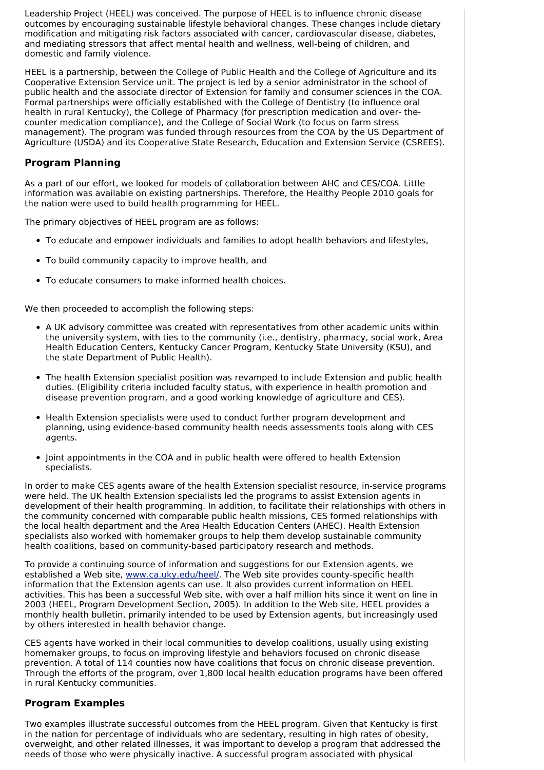Leadership Project (HEEL) was conceived. The purpose of HEEL is to influence chronic disease outcomes by encouraging sustainable lifestyle behavioral changes. These changes include dietary modification and mitigating risk factors associated with cancer, cardiovascular disease, diabetes, and mediating stressors that affect mental health and wellness, well-being of children, and domestic and family violence.

HEEL is a partnership, between the College of Public Health and the College of Agriculture and its Cooperative Extension Service unit. The project is led by a senior administrator in the school of public health and the associate director of Extension for family and consumer sciences in the COA. Formal partnerships were officially established with the College of Dentistry (to influence oral health in rural Kentucky), the College of Pharmacy (for prescription medication and over- thecounter medication compliance), and the College of Social Work (to focus on farm stress management). The program was funded through resources from the COA by the US Department of Agriculture (USDA) and its Cooperative State Research, Education and Extension Service (CSREES).

#### **Program Planning**

As a part of our effort, we looked for models of collaboration between AHC and CES/COA. Little information was available on existing partnerships. Therefore, the Healthy People 2010 goals for the nation were used to build health programming for HEEL.

The primary objectives of HEEL program are as follows:

- To educate and empower individuals and families to adopt health behaviors and lifestyles,
- To build community capacity to improve health, and
- To educate consumers to make informed health choices.

We then proceeded to accomplish the following steps:

- A UK advisory committee was created with representatives from other academic units within the university system, with ties to the community (i.e., dentistry, pharmacy, social work, Area Health Education Centers, Kentucky Cancer Program, Kentucky State University (KSU), and the state Department of Public Health).
- The health Extension specialist position was revamped to include Extension and public health duties. (Eligibility criteria included faculty status, with experience in health promotion and disease prevention program, and a good working knowledge of agriculture and CES).
- Health Extension specialists were used to conduct further program development and planning, using evidence-based community health needs assessments tools along with CES agents.
- Joint appointments in the COA and in public health were offered to health Extension specialists.

In order to make CES agents aware of the health Extension specialist resource, in-service programs were held. The UK health Extension specialists led the programs to assist Extension agents in development of their health programming. In addition, to facilitate their relationships with others in the community concerned with comparable public health missions, CES formed relationships with the local health department and the Area Health Education Centers (AHEC). Health Extension specialists also worked with homemaker groups to help them develop sustainable community health coalitions, based on community-based participatory research and methods.

To provide a continuing source of information and suggestions for our Extension agents, we established a Web site, [www.ca.uky.edu/heel/.](http://www.ca.uky.edu/heel/) The Web site provides county-specific health information that the Extension agents can use. It also provides current information on HEEL activities. This has been a successful Web site, with over a half million hits since it went on line in 2003 (HEEL, Program Development Section, 2005). In addition to the Web site, HEEL provides a monthly health bulletin, primarily intended to be used by Extension agents, but increasingly used by others interested in health behavior change.

CES agents have worked in their local communities to develop coalitions, usually using existing homemaker groups, to focus on improving lifestyle and behaviors focused on chronic disease prevention. A total of 114 counties now have coalitions that focus on chronic disease prevention. Through the efforts of the program, over 1,800 local health education programs have been offered in rural Kentucky communities.

#### **Program Examples**

Two examples illustrate successful outcomes from the HEEL program. Given that Kentucky is first in the nation for percentage of individuals who are sedentary, resulting in high rates of obesity, overweight, and other related illnesses, it was important to develop a program that addressed the needs of those who were physically inactive. A successful program associated with physical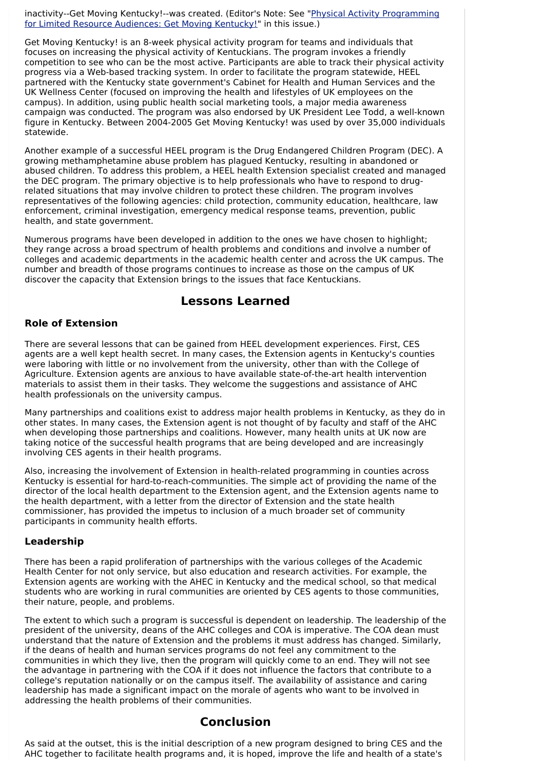inactivity--Get Moving [Kentucky!--was](http://www.joe.org/joe/2007february/iw4.shtml) created. (Editor's Note: See "Physical Activity Programming for Limited Resource Audiences: Get Moving Kentucky!" in this issue.)

Get Moving Kentucky! is an 8-week physical activity program for teams and individuals that focuses on increasing the physical activity of Kentuckians. The program invokes a friendly competition to see who can be the most active. Participants are able to track their physical activity progress via a Web-based tracking system. In order to facilitate the program statewide, HEEL partnered with the Kentucky state government's Cabinet for Health and Human Services and the UK Wellness Center (focused on improving the health and lifestyles of UK employees on the campus). In addition, using public health social marketing tools, a major media awareness campaign was conducted. The program was also endorsed by UK President Lee Todd, a well-known figure in Kentucky. Between 2004-2005 Get Moving Kentucky! was used by over 35,000 individuals statewide.

Another example of a successful HEEL program is the Drug Endangered Children Program (DEC). A growing methamphetamine abuse problem has plagued Kentucky, resulting in abandoned or abused children. To address this problem, a HEEL health Extension specialist created and managed the DEC program. The primary objective is to help professionals who have to respond to drugrelated situations that may involve children to protect these children. The program involves representatives of the following agencies: child protection, community education, healthcare, law enforcement, criminal investigation, emergency medical response teams, prevention, public health, and state government.

Numerous programs have been developed in addition to the ones we have chosen to highlight; they range across a broad spectrum of health problems and conditions and involve a number of colleges and academic departments in the academic health center and across the UK campus. The number and breadth of those programs continues to increase as those on the campus of UK discover the capacity that Extension brings to the issues that face Kentuckians.

### **Lessons Learned**

#### **Role of Extension**

There are several lessons that can be gained from HEEL development experiences. First, CES agents are a well kept health secret. In many cases, the Extension agents in Kentucky's counties were laboring with little or no involvement from the university, other than with the College of Agriculture. Extension agents are anxious to have available state-of-the-art health intervention materials to assist them in their tasks. They welcome the suggestions and assistance of AHC health professionals on the university campus.

Many partnerships and coalitions exist to address major health problems in Kentucky, as they do in other states. In many cases, the Extension agent is not thought of by faculty and staff of the AHC when developing those partnerships and coalitions. However, many health units at UK now are taking notice of the successful health programs that are being developed and are increasingly involving CES agents in their health programs.

Also, increasing the involvement of Extension in health-related programming in counties across Kentucky is essential for hard-to-reach-communities. The simple act of providing the name of the director of the local health department to the Extension agent, and the Extension agents name to the health department, with a letter from the director of Extension and the state health commissioner, has provided the impetus to inclusion of a much broader set of community participants in community health efforts.

#### **Leadership**

There has been a rapid proliferation of partnerships with the various colleges of the Academic Health Center for not only service, but also education and research activities. For example, the Extension agents are working with the AHEC in Kentucky and the medical school, so that medical students who are working in rural communities are oriented by CES agents to those communities, their nature, people, and problems.

The extent to which such a program is successful is dependent on leadership. The leadership of the president of the university, deans of the AHC colleges and COA is imperative. The COA dean must understand that the nature of Extension and the problems it must address has changed. Similarly, if the deans of health and human services programs do not feel any commitment to the communities in which they live, then the program will quickly come to an end. They will not see the advantage in partnering with the COA if it does not influence the factors that contribute to a college's reputation nationally or on the campus itself. The availability of assistance and caring leadership has made a significant impact on the morale of agents who want to be involved in addressing the health problems of their communities.

### **Conclusion**

As said at the outset, this is the initial description of a new program designed to bring CES and the AHC together to facilitate health programs and, it is hoped, improve the life and health of a state's